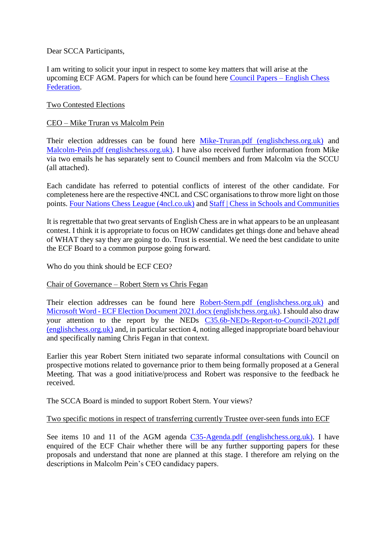Dear SCCA Participants,

I am writing to solicit your input in respect to some key matters that will arise at the upcoming ECF AGM. Papers for which can be found here [Council Papers –](https://www.englishchess.org.uk/about/ecf-council-and-board/) English Chess [Federation.](https://www.englishchess.org.uk/about/ecf-council-and-board/)

## Two Contested Elections

## CEO – Mike Truran vs Malcolm Pein

Their election addresses can be found here [Mike-Truran.pdf \(englishchess.org.uk\)](https://www.englishchess.org.uk/wp-content/uploads/2021/09/Mike-Truran.pdf) and [Malcolm-Pein.pdf \(englishchess.org.uk\).](https://www.englishchess.org.uk/wp-content/uploads/2021/09/Malcolm-Pein.pdf) I have also received further information from Mike via two emails he has separately sent to Council members and from Malcolm via the SCCU (all attached).

Each candidate has referred to potential conflicts of interest of the other candidate. For completeness here are the respective 4NCL and CSC organisations to throw more light on those points. [Four Nations Chess League \(4ncl.co.uk\)](https://www.4ncl.co.uk/mgt_board.htm) and [Staff | Chess in Schools and Communities](https://www.chessinschools.co.uk/staff)

It is regrettable that two great servants of English Chess are in what appears to be an unpleasant contest. I think it is appropriate to focus on HOW candidates get things done and behave ahead of WHAT they say they are going to do. Trust is essential. We need the best candidate to unite the ECF Board to a common purpose going forward.

Who do you think should be ECF CEO?

#### Chair of Governance – Robert Stern vs Chris Fegan

Their election addresses can be found here [Robert-Stern.pdf \(englishchess.org.uk\)](https://www.englishchess.org.uk/wp-content/uploads/2021/09/Robert-Stern.pdf) and Microsoft Word - [ECF Election Document 2021.docx \(englishchess.org.uk\).](https://www.englishchess.org.uk/wp-content/uploads/2021/09/Chris-Fegan.pdf) I should also draw your attention to the report by the NEDs [C35.6b-NEDs-Report-to-Council-2021.pdf](https://www.englishchess.org.uk/wp-content/uploads/2021/09/C35.6b-NEDs-Report-to-Council-2021.pdf)  [\(englishchess.org.uk\)](https://www.englishchess.org.uk/wp-content/uploads/2021/09/C35.6b-NEDs-Report-to-Council-2021.pdf) and, in particular section 4, noting alleged inappropriate board behaviour and specifically naming Chris Fegan in that context.

Earlier this year Robert Stern initiated two separate informal consultations with Council on prospective motions related to governance prior to them being formally proposed at a General Meeting. That was a good initiative/process and Robert was responsive to the feedback he received.

The SCCA Board is minded to support Robert Stern. Your views?

# Two specific motions in respect of transferring currently Trustee over-seen funds into ECF

See items 10 and 11 of the AGM agenda [C35-Agenda.pdf \(englishchess.org.uk\).](https://www.englishchess.org.uk/wp-content/uploads/2021/09/C35-Agenda.pdf) I have enquired of the ECF Chair whether there will be any further supporting papers for these proposals and understand that none are planned at this stage. I therefore am relying on the descriptions in Malcolm Pein's CEO candidacy papers.